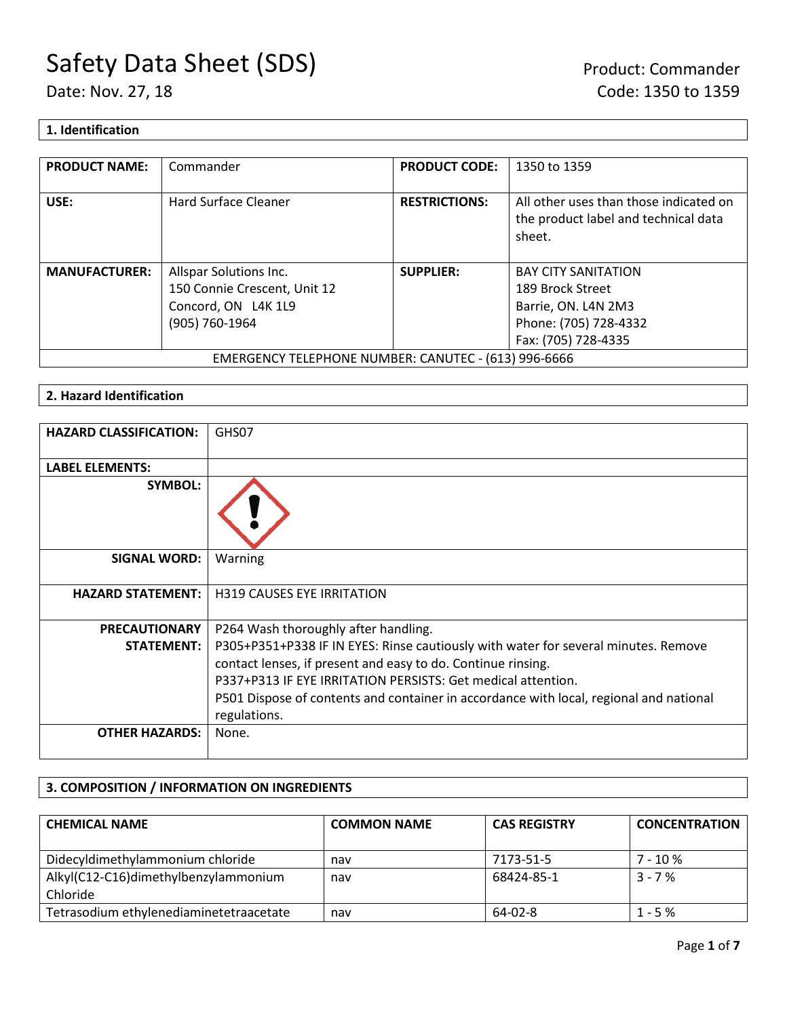### **1. Identification**

| <b>PRODUCT NAME:</b>                                 | Commander                    | <b>PRODUCT CODE:</b> | 1350 to 1359                                                                             |
|------------------------------------------------------|------------------------------|----------------------|------------------------------------------------------------------------------------------|
| USE:                                                 | Hard Surface Cleaner         | <b>RESTRICTIONS:</b> | All other uses than those indicated on<br>the product label and technical data<br>sheet. |
| <b>MANUFACTURER:</b>                                 | Allspar Solutions Inc.       | <b>SUPPLIER:</b>     | <b>BAY CITY SANITATION</b>                                                               |
|                                                      | 150 Connie Crescent, Unit 12 |                      | 189 Brock Street                                                                         |
|                                                      | Concord, ON L4K 1L9          |                      | Barrie, ON. L4N 2M3                                                                      |
|                                                      | (905) 760-1964               |                      | Phone: (705) 728-4332                                                                    |
|                                                      |                              |                      | Fax: (705) 728-4335                                                                      |
| EMERGENCY TELEPHONE NUMBER: CANUTEC - (613) 996-6666 |                              |                      |                                                                                          |

## **2. Hazard Identification**

| <b>HAZARD CLASSIFICATION:</b> | GHS07                                                                                  |
|-------------------------------|----------------------------------------------------------------------------------------|
| <b>LABEL ELEMENTS:</b>        |                                                                                        |
| <b>SYMBOL:</b>                |                                                                                        |
| <b>SIGNAL WORD:</b>           | Warning                                                                                |
| <b>HAZARD STATEMENT:</b>      | <b>H319 CAUSES EYE IRRITATION</b>                                                      |
| <b>PRECAUTIONARY</b>          | P264 Wash thoroughly after handling.                                                   |
| <b>STATEMENT:</b>             | P305+P351+P338 IF IN EYES: Rinse cautiously with water for several minutes. Remove     |
|                               | contact lenses, if present and easy to do. Continue rinsing.                           |
|                               | P337+P313 IF EYE IRRITATION PERSISTS: Get medical attention.                           |
|                               | P501 Dispose of contents and container in accordance with local, regional and national |
|                               | regulations.                                                                           |
| <b>OTHER HAZARDS:</b>         | None.                                                                                  |

## **3. COMPOSITION / INFORMATION ON INGREDIENTS**

| <b>CHEMICAL NAME</b>                    | <b>COMMON NAME</b> | <b>CAS REGISTRY</b> | <b>CONCENTRATION</b> |
|-----------------------------------------|--------------------|---------------------|----------------------|
| Didecyldimethylammonium chloride        | nav                | 7173-51-5           | 7 - 10 %             |
| Alkyl(C12-C16)dimethylbenzylammonium    | nav                | 68424-85-1          | $3 - 7%$             |
| Chloride                                |                    |                     |                      |
| Tetrasodium ethylenediaminetetraacetate | nav                | 64-02-8             | $1 - 5%$             |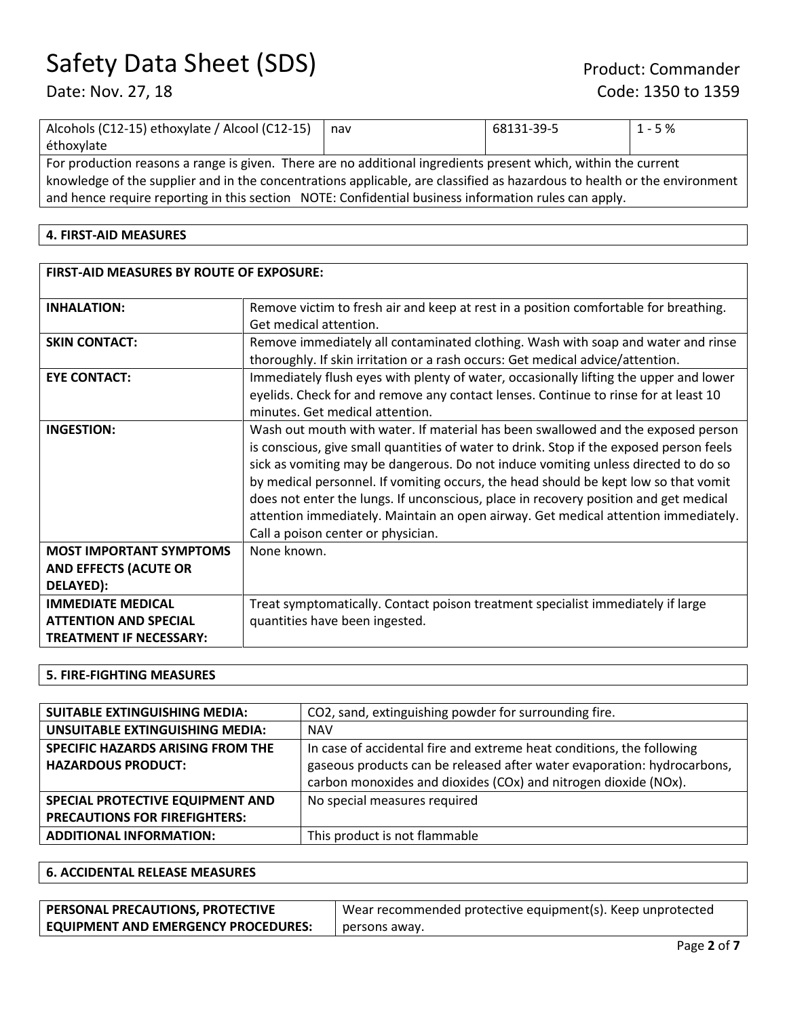# Safety Data Sheet (SDS) Product: Commander

| Alcohols (C12-15) ethoxylate / Alcool (C12-15)                                                                           | nav | 68131-39-5 | $1 - 5%$ |  |
|--------------------------------------------------------------------------------------------------------------------------|-----|------------|----------|--|
| éthoxylate                                                                                                               |     |            |          |  |
| For production reasons a range is given. There are no additional ingredients present which, within the current           |     |            |          |  |
| knowledge of the supplier and in the concentrations applicable, are classified as hazardous to health or the environment |     |            |          |  |

and hence require reporting in this section NOTE: Confidential business information rules can apply.

### **4. FIRST-AID MEASURES**

| <b>FIRST-AID MEASURES BY ROUTE OF EXPOSURE:</b>                                            |                                                                                                                                                                                                                                                                                                                                                                                                                                                                                                                                                                              |  |  |
|--------------------------------------------------------------------------------------------|------------------------------------------------------------------------------------------------------------------------------------------------------------------------------------------------------------------------------------------------------------------------------------------------------------------------------------------------------------------------------------------------------------------------------------------------------------------------------------------------------------------------------------------------------------------------------|--|--|
| <b>INHALATION:</b>                                                                         | Remove victim to fresh air and keep at rest in a position comfortable for breathing.<br>Get medical attention.                                                                                                                                                                                                                                                                                                                                                                                                                                                               |  |  |
| <b>SKIN CONTACT:</b>                                                                       | Remove immediately all contaminated clothing. Wash with soap and water and rinse<br>thoroughly. If skin irritation or a rash occurs: Get medical advice/attention.                                                                                                                                                                                                                                                                                                                                                                                                           |  |  |
| <b>EYE CONTACT:</b>                                                                        | Immediately flush eyes with plenty of water, occasionally lifting the upper and lower<br>eyelids. Check for and remove any contact lenses. Continue to rinse for at least 10<br>minutes. Get medical attention.                                                                                                                                                                                                                                                                                                                                                              |  |  |
| <b>INGESTION:</b>                                                                          | Wash out mouth with water. If material has been swallowed and the exposed person<br>is conscious, give small quantities of water to drink. Stop if the exposed person feels<br>sick as vomiting may be dangerous. Do not induce vomiting unless directed to do so<br>by medical personnel. If vomiting occurs, the head should be kept low so that vomit<br>does not enter the lungs. If unconscious, place in recovery position and get medical<br>attention immediately. Maintain an open airway. Get medical attention immediately.<br>Call a poison center or physician. |  |  |
| <b>MOST IMPORTANT SYMPTOMS</b><br><b>AND EFFECTS (ACUTE OR</b><br>DELAYED):                | None known.                                                                                                                                                                                                                                                                                                                                                                                                                                                                                                                                                                  |  |  |
| <b>IMMEDIATE MEDICAL</b><br><b>ATTENTION AND SPECIAL</b><br><b>TREATMENT IF NECESSARY:</b> | Treat symptomatically. Contact poison treatment specialist immediately if large<br>quantities have been ingested.                                                                                                                                                                                                                                                                                                                                                                                                                                                            |  |  |

### **5. FIRE-FIGHTING MEASURES**

| <b>SUITABLE EXTINGUISHING MEDIA:</b>                                                                 | CO2, sand, extinguishing powder for surrounding fire.                 |
|------------------------------------------------------------------------------------------------------|-----------------------------------------------------------------------|
| <b>UNSUITABLE EXTINGUISHING MEDIA:</b>                                                               | <b>NAV</b>                                                            |
| SPECIFIC HAZARDS ARISING FROM THE                                                                    | In case of accidental fire and extreme heat conditions, the following |
| gaseous products can be released after water evaporation: hydrocarbons,<br><b>HAZARDOUS PRODUCT:</b> |                                                                       |
|                                                                                                      | carbon monoxides and dioxides (COx) and nitrogen dioxide (NOx).       |
| SPECIAL PROTECTIVE EQUIPMENT AND                                                                     | No special measures required                                          |
| <b>PRECAUTIONS FOR FIREFIGHTERS:</b>                                                                 |                                                                       |
| <b>ADDITIONAL INFORMATION:</b>                                                                       | This product is not flammable                                         |

### **6. ACCIDENTAL RELEASE MEASURES**

| PERSONAL PRECAUTIONS, PROTECTIVE           | Wear recommended protective equipment(s). Keep unprotected |
|--------------------------------------------|------------------------------------------------------------|
| <b>EQUIPMENT AND EMERGENCY PROCEDURES:</b> | l persons away.                                            |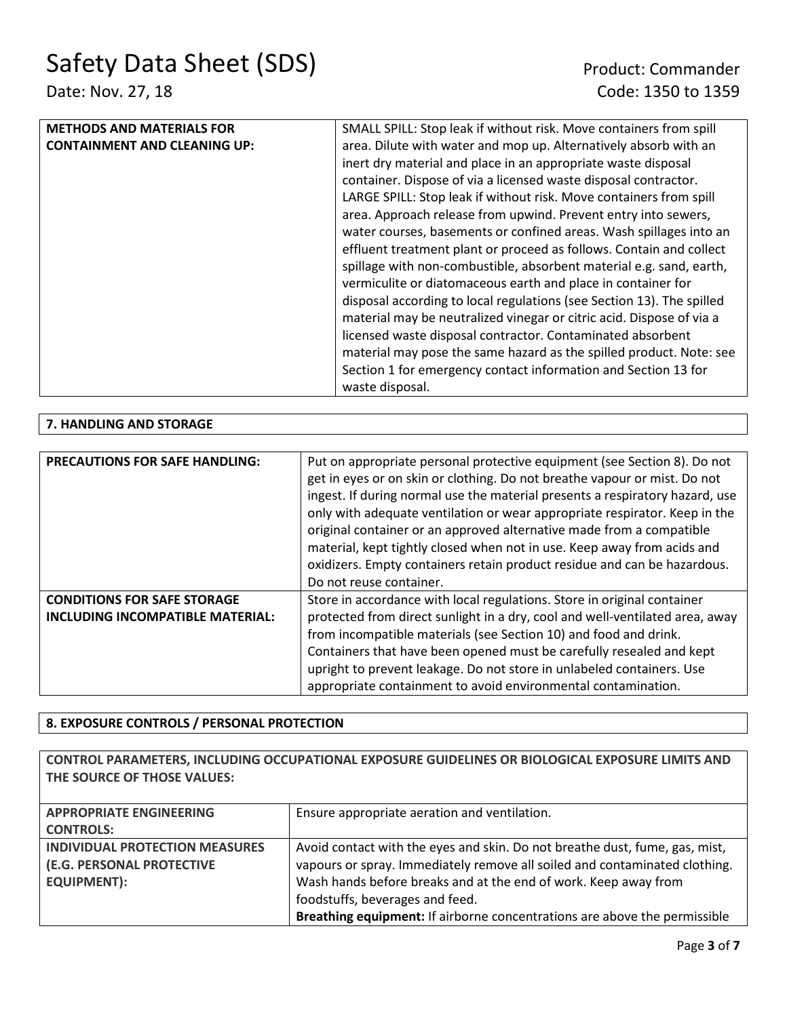| <b>METHODS AND MATERIALS FOR</b>    | SMALL SPILL: Stop leak if without risk. Move containers from spill    |
|-------------------------------------|-----------------------------------------------------------------------|
| <b>CONTAINMENT AND CLEANING UP:</b> | area. Dilute with water and mop up. Alternatively absorb with an      |
|                                     | inert dry material and place in an appropriate waste disposal         |
|                                     | container. Dispose of via a licensed waste disposal contractor.       |
|                                     | LARGE SPILL: Stop leak if without risk. Move containers from spill    |
|                                     | area. Approach release from upwind. Prevent entry into sewers,        |
|                                     | water courses, basements or confined areas. Wash spillages into an    |
|                                     | effluent treatment plant or proceed as follows. Contain and collect   |
|                                     | spillage with non-combustible, absorbent material e.g. sand, earth,   |
|                                     | vermiculite or diatomaceous earth and place in container for          |
|                                     | disposal according to local regulations (see Section 13). The spilled |
|                                     | material may be neutralized vinegar or citric acid. Dispose of via a  |
|                                     | licensed waste disposal contractor. Contaminated absorbent            |
|                                     | material may pose the same hazard as the spilled product. Note: see   |
|                                     | Section 1 for emergency contact information and Section 13 for        |
|                                     | waste disposal.                                                       |

## **7. HANDLING AND STORAGE**

| <b>PRECAUTIONS FOR SAFE HANDLING:</b>                                  | Put on appropriate personal protective equipment (see Section 8). Do not<br>get in eyes or on skin or clothing. Do not breathe vapour or mist. Do not<br>ingest. If during normal use the material presents a respiratory hazard, use<br>only with adequate ventilation or wear appropriate respirator. Keep in the<br>original container or an approved alternative made from a compatible<br>material, kept tightly closed when not in use. Keep away from acids and<br>oxidizers. Empty containers retain product residue and can be hazardous.<br>Do not reuse container. |
|------------------------------------------------------------------------|-------------------------------------------------------------------------------------------------------------------------------------------------------------------------------------------------------------------------------------------------------------------------------------------------------------------------------------------------------------------------------------------------------------------------------------------------------------------------------------------------------------------------------------------------------------------------------|
| <b>CONDITIONS FOR SAFE STORAGE</b><br>INCLUDING INCOMPATIBLE MATERIAL: | Store in accordance with local regulations. Store in original container<br>protected from direct sunlight in a dry, cool and well-ventilated area, away<br>from incompatible materials (see Section 10) and food and drink.<br>Containers that have been opened must be carefully resealed and kept<br>upright to prevent leakage. Do not store in unlabeled containers. Use                                                                                                                                                                                                  |
|                                                                        | appropriate containment to avoid environmental contamination.                                                                                                                                                                                                                                                                                                                                                                                                                                                                                                                 |

### **8. EXPOSURE CONTROLS / PERSONAL PROTECTION**

### **CONTROL PARAMETERS, INCLUDING OCCUPATIONAL EXPOSURE GUIDELINES OR BIOLOGICAL EXPOSURE LIMITS AND THE SOURCE OF THOSE VALUES:**

| <b>APPROPRIATE ENGINEERING</b>        | Ensure appropriate aeration and ventilation.                                |
|---------------------------------------|-----------------------------------------------------------------------------|
| <b>CONTROLS:</b>                      |                                                                             |
| <b>INDIVIDUAL PROTECTION MEASURES</b> | Avoid contact with the eyes and skin. Do not breathe dust, fume, gas, mist, |
| (E.G. PERSONAL PROTECTIVE             | vapours or spray. Immediately remove all soiled and contaminated clothing.  |
| <b>EQUIPMENT):</b>                    | Wash hands before breaks and at the end of work. Keep away from             |
|                                       | foodstuffs, beverages and feed.                                             |
|                                       | Breathing equipment: If airborne concentrations are above the permissible   |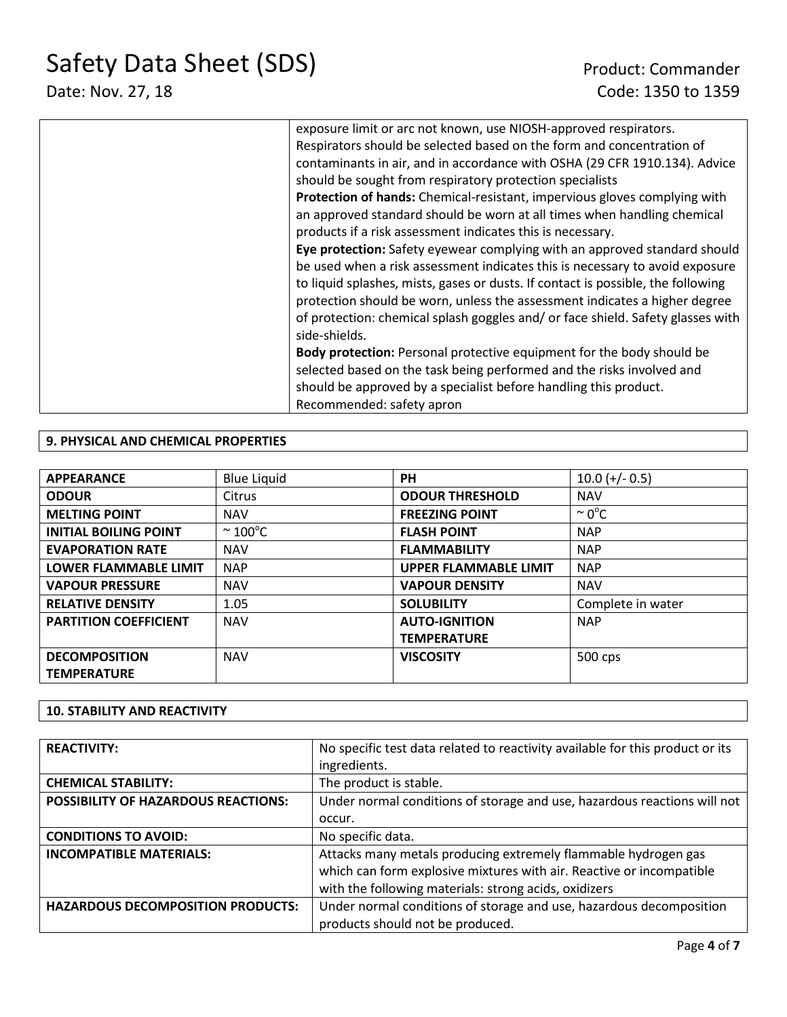# Safety Data Sheet (SDS) Product: Commander

| exposure limit or arc not known, use NIOSH-approved respirators.                 |
|----------------------------------------------------------------------------------|
| Respirators should be selected based on the form and concentration of            |
| contaminants in air, and in accordance with OSHA (29 CFR 1910.134). Advice       |
| should be sought from respiratory protection specialists                         |
| <b>Protection of hands:</b> Chemical-resistant, impervious gloves complying with |
| an approved standard should be worn at all times when handling chemical          |
| products if a risk assessment indicates this is necessary.                       |
| Eye protection: Safety eyewear complying with an approved standard should        |
| be used when a risk assessment indicates this is necessary to avoid exposure     |
| to liquid splashes, mists, gases or dusts. If contact is possible, the following |
| protection should be worn, unless the assessment indicates a higher degree       |
| of protection: chemical splash goggles and/ or face shield. Safety glasses with  |
| side-shields.                                                                    |
| <b>Body protection:</b> Personal protective equipment for the body should be     |
| selected based on the task being performed and the risks involved and            |
| should be approved by a specialist before handling this product.                 |
| Recommended: safety apron                                                        |

### **9. PHYSICAL AND CHEMICAL PROPERTIES**

| <b>APPEARANCE</b>            | <b>Blue Liquid</b>     | <b>PH</b>                    | $10.0 (+/- 0.5)$   |
|------------------------------|------------------------|------------------------------|--------------------|
| <b>ODOUR</b>                 | Citrus                 | <b>ODOUR THRESHOLD</b>       | <b>NAV</b>         |
| <b>MELTING POINT</b>         | <b>NAV</b>             | <b>FREEZING POINT</b>        | $\sim 0^{\circ}$ C |
| <b>INITIAL BOILING POINT</b> | $\sim$ 100 $\degree$ C | <b>FLASH POINT</b>           | <b>NAP</b>         |
| <b>EVAPORATION RATE</b>      | <b>NAV</b>             | <b>FLAMMABILITY</b>          | <b>NAP</b>         |
| <b>LOWER FLAMMABLE LIMIT</b> | <b>NAP</b>             | <b>UPPER FLAMMABLE LIMIT</b> | <b>NAP</b>         |
| <b>VAPOUR PRESSURE</b>       | <b>NAV</b>             | <b>VAPOUR DENSITY</b>        | <b>NAV</b>         |
| <b>RELATIVE DENSITY</b>      | 1.05                   | <b>SOLUBILITY</b>            | Complete in water  |
| <b>PARTITION COEFFICIENT</b> | <b>NAV</b>             | <b>AUTO-IGNITION</b>         | <b>NAP</b>         |
|                              |                        | <b>TEMPERATURE</b>           |                    |
| <b>DECOMPOSITION</b>         | <b>NAV</b>             | <b>VISCOSITY</b>             | 500 cps            |
| <b>TEMPERATURE</b>           |                        |                              |                    |

### **10. STABILITY AND REACTIVITY**

| <b>REACTIVITY:</b>                         | No specific test data related to reactivity available for this product or its |  |
|--------------------------------------------|-------------------------------------------------------------------------------|--|
|                                            | ingredients.                                                                  |  |
| <b>CHEMICAL STABILITY:</b>                 | The product is stable.                                                        |  |
| <b>POSSIBILITY OF HAZARDOUS REACTIONS:</b> | Under normal conditions of storage and use, hazardous reactions will not      |  |
|                                            | occur.                                                                        |  |
| <b>CONDITIONS TO AVOID:</b>                | No specific data.                                                             |  |
| <b>INCOMPATIBLE MATERIALS:</b>             | Attacks many metals producing extremely flammable hydrogen gas                |  |
|                                            | which can form explosive mixtures with air. Reactive or incompatible          |  |
|                                            | with the following materials: strong acids, oxidizers                         |  |
| <b>HAZARDOUS DECOMPOSITION PRODUCTS:</b>   | Under normal conditions of storage and use, hazardous decomposition           |  |
|                                            | products should not be produced.                                              |  |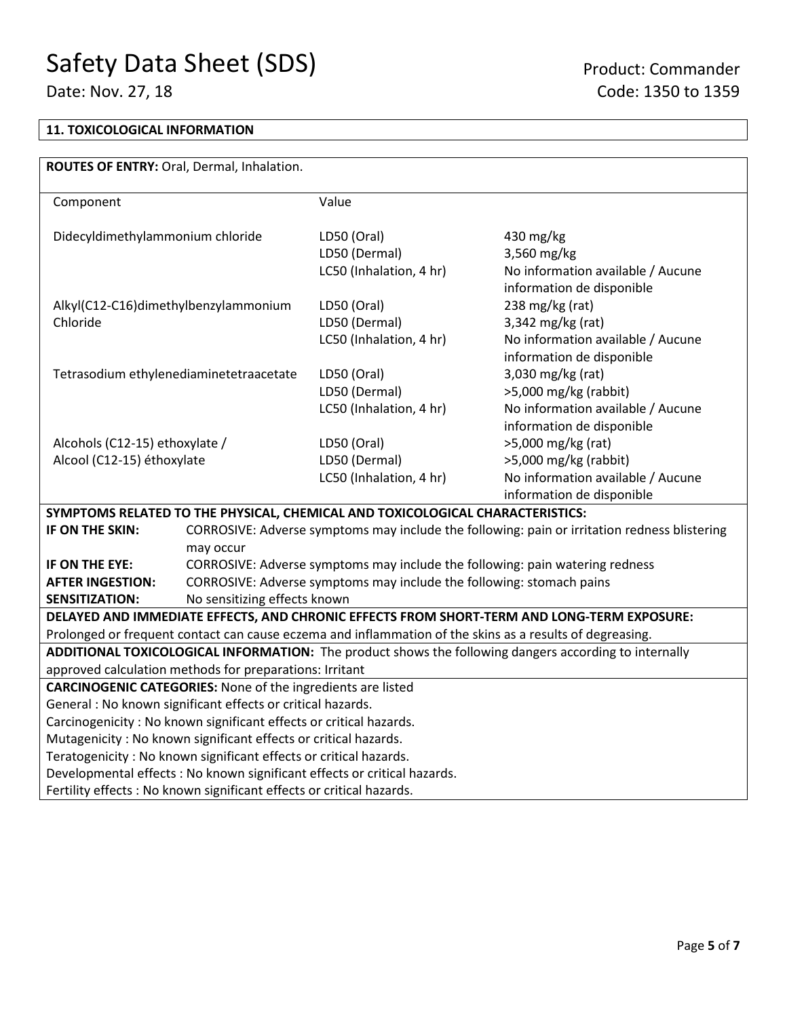# **11. TOXICOLOGICAL INFORMATION**

| ROUTES OF ENTRY: Oral, Dermal, Inhalation.                                                               |                                                                              |                                                                               |                                                                                                       |  |
|----------------------------------------------------------------------------------------------------------|------------------------------------------------------------------------------|-------------------------------------------------------------------------------|-------------------------------------------------------------------------------------------------------|--|
|                                                                                                          |                                                                              |                                                                               |                                                                                                       |  |
| Component                                                                                                |                                                                              | Value                                                                         |                                                                                                       |  |
|                                                                                                          |                                                                              |                                                                               |                                                                                                       |  |
| Didecyldimethylammonium chloride                                                                         |                                                                              | LD50 (Oral)                                                                   | 430 mg/kg                                                                                             |  |
|                                                                                                          |                                                                              | LD50 (Dermal)                                                                 | 3,560 mg/kg                                                                                           |  |
|                                                                                                          |                                                                              | LC50 (Inhalation, 4 hr)                                                       | No information available / Aucune                                                                     |  |
|                                                                                                          |                                                                              |                                                                               | information de disponible                                                                             |  |
| Alkyl(C12-C16)dimethylbenzylammonium                                                                     |                                                                              | LD50 (Oral)                                                                   | 238 mg/kg (rat)                                                                                       |  |
| Chloride                                                                                                 |                                                                              | LD50 (Dermal)                                                                 | 3,342 mg/kg (rat)                                                                                     |  |
|                                                                                                          |                                                                              | LC50 (Inhalation, 4 hr)                                                       | No information available / Aucune                                                                     |  |
|                                                                                                          |                                                                              |                                                                               | information de disponible                                                                             |  |
| Tetrasodium ethylenediaminetetraacetate                                                                  |                                                                              | LD50 (Oral)                                                                   | 3,030 mg/kg (rat)                                                                                     |  |
|                                                                                                          |                                                                              | LD50 (Dermal)                                                                 | >5,000 mg/kg (rabbit)                                                                                 |  |
|                                                                                                          |                                                                              | LC50 (Inhalation, 4 hr)                                                       | No information available / Aucune                                                                     |  |
|                                                                                                          |                                                                              |                                                                               | information de disponible                                                                             |  |
| Alcohols (C12-15) ethoxylate /                                                                           |                                                                              | LD50 (Oral)                                                                   | >5,000 mg/kg (rat)                                                                                    |  |
| Alcool (C12-15) éthoxylate                                                                               |                                                                              | LD50 (Dermal)                                                                 | >5,000 mg/kg (rabbit)                                                                                 |  |
|                                                                                                          |                                                                              | LC50 (Inhalation, 4 hr)                                                       | No information available / Aucune                                                                     |  |
|                                                                                                          |                                                                              |                                                                               | information de disponible                                                                             |  |
|                                                                                                          |                                                                              | SYMPTOMS RELATED TO THE PHYSICAL, CHEMICAL AND TOXICOLOGICAL CHARACTERISTICS: |                                                                                                       |  |
| IF ON THE SKIN:                                                                                          |                                                                              |                                                                               | CORROSIVE: Adverse symptoms may include the following: pain or irritation redness blistering          |  |
|                                                                                                          | may occur                                                                    |                                                                               |                                                                                                       |  |
| IF ON THE EYE:                                                                                           | CORROSIVE: Adverse symptoms may include the following: pain watering redness |                                                                               |                                                                                                       |  |
| <b>AFTER INGESTION:</b>                                                                                  | CORROSIVE: Adverse symptoms may include the following: stomach pains         |                                                                               |                                                                                                       |  |
| <b>SENSITIZATION:</b>                                                                                    | No sensitizing effects known                                                 |                                                                               |                                                                                                       |  |
|                                                                                                          |                                                                              |                                                                               | DELAYED AND IMMEDIATE EFFECTS, AND CHRONIC EFFECTS FROM SHORT-TERM AND LONG-TERM EXPOSURE:            |  |
| Prolonged or frequent contact can cause eczema and inflammation of the skins as a results of degreasing. |                                                                              |                                                                               |                                                                                                       |  |
|                                                                                                          |                                                                              |                                                                               | ADDITIONAL TOXICOLOGICAL INFORMATION: The product shows the following dangers according to internally |  |
| approved calculation methods for preparations: Irritant                                                  |                                                                              |                                                                               |                                                                                                       |  |
| <b>CARCINOGENIC CATEGORIES:</b> None of the ingredients are listed                                       |                                                                              |                                                                               |                                                                                                       |  |
| General : No known significant effects or critical hazards.                                              |                                                                              |                                                                               |                                                                                                       |  |
| Carcinogenicity : No known significant effects or critical hazards.                                      |                                                                              |                                                                               |                                                                                                       |  |
| Mutagenicity: No known significant effects or critical hazards.                                          |                                                                              |                                                                               |                                                                                                       |  |
| Teratogenicity : No known significant effects or critical hazards.                                       |                                                                              |                                                                               |                                                                                                       |  |
| Developmental effects : No known significant effects or critical hazards.                                |                                                                              |                                                                               |                                                                                                       |  |
| Fertility effects : No known significant effects or critical hazards.                                    |                                                                              |                                                                               |                                                                                                       |  |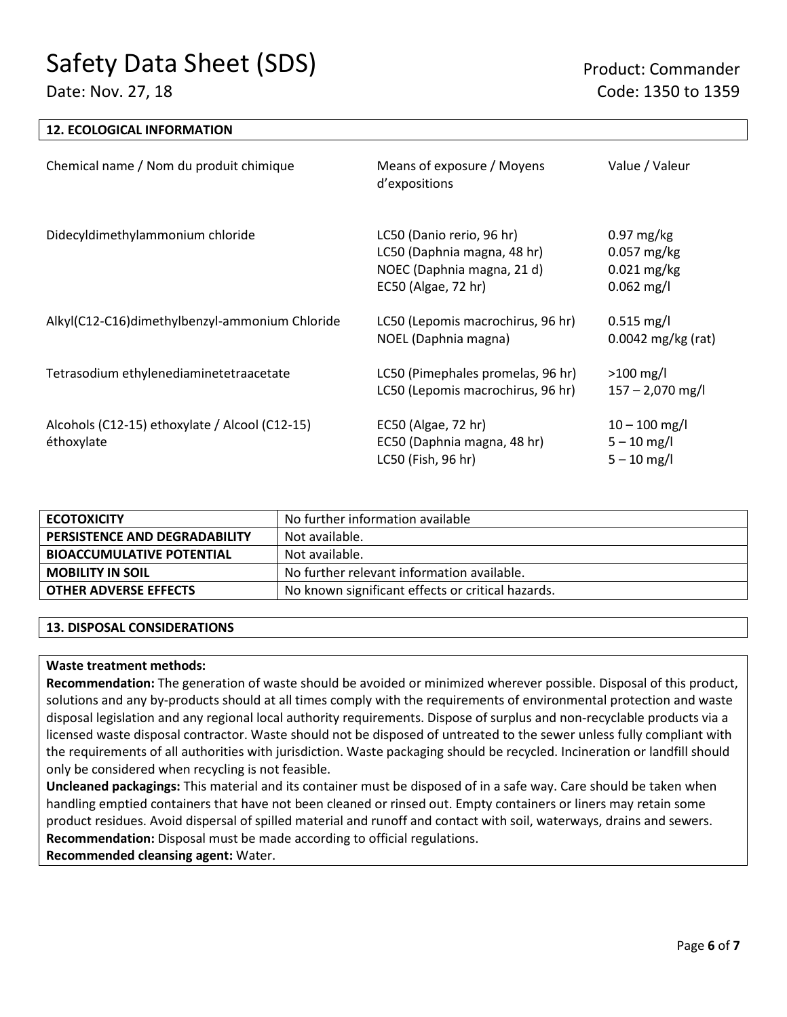### **12. ECOLOGICAL INFORMATION** Chemical name / Nom du produit chimique Means of exposure / Moyens d'expositions Value / Valeur Didecyldimethylammonium chloride LC50 (Danio rerio, 96 hr) LC50 (Daphnia magna, 48 hr) NOEC (Daphnia magna, 21 d) EC50 (Algae, 72 hr) 0.97 mg/kg 0.057 mg/kg 0.021 mg/kg 0.062 mg/l Alkyl(C12-C16)dimethylbenzyl-ammonium Chloride LC50 (Lepomis macrochirus, 96 hr) NOEL (Daphnia magna) 0.515 mg/l 0.0042 mg/kg (rat) Tetrasodium ethylenediaminetetraacetate LC50 (Pimephales promelas, 96 hr) LC50 (Lepomis macrochirus, 96 hr) >100 mg/l 157 – 2,070 mg/l Alcohols (C12-15) ethoxylate / Alcool (C12-15) éthoxylate EC50 (Algae, 72 hr) EC50 (Daphnia magna, 48 hr) LC50 (Fish, 96 hr)  $10 - 100$  mg/l  $5 - 10$  mg/l  $5 - 10$  mg/l

| <b>ECOTOXICITY</b>               | No further information available                  |
|----------------------------------|---------------------------------------------------|
| PERSISTENCE AND DEGRADABILITY    | Not available.                                    |
| <b>BIOACCUMULATIVE POTENTIAL</b> | Not available.                                    |
| <b>MOBILITY IN SOIL</b>          | No further relevant information available.        |
| <b>OTHER ADVERSE EFFECTS</b>     | No known significant effects or critical hazards. |

### **13. DISPOSAL CONSIDERATIONS**

### **Waste treatment methods:**

**Recommendation:** The generation of waste should be avoided or minimized wherever possible. Disposal of this product, solutions and any by-products should at all times comply with the requirements of environmental protection and waste disposal legislation and any regional local authority requirements. Dispose of surplus and non-recyclable products via a licensed waste disposal contractor. Waste should not be disposed of untreated to the sewer unless fully compliant with the requirements of all authorities with jurisdiction. Waste packaging should be recycled. Incineration or landfill should only be considered when recycling is not feasible.

**Uncleaned packagings:** This material and its container must be disposed of in a safe way. Care should be taken when handling emptied containers that have not been cleaned or rinsed out. Empty containers or liners may retain some product residues. Avoid dispersal of spilled material and runoff and contact with soil, waterways, drains and sewers. **Recommendation:** Disposal must be made according to official regulations.

**Recommended cleansing agent:** Water.